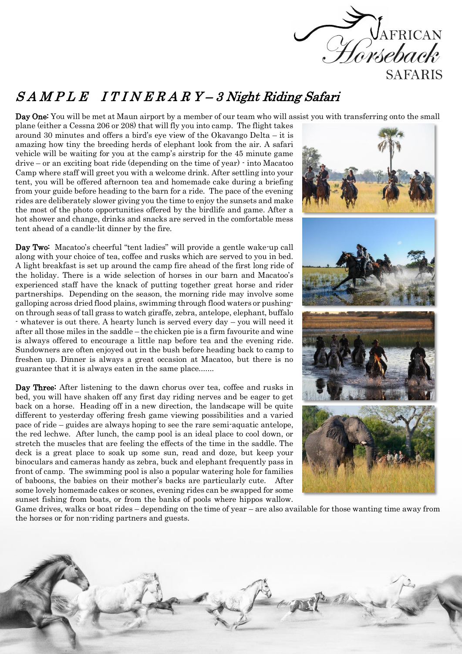

## S A M P L E I T I N E R A R Y – 3 Night Riding Safari

Day One: You will be met at Maun airport by a member of our team who will assist you with transferring onto the small

plane (either a Cessna 206 or 208) that will fly you into camp. The flight takes around 30 minutes and offers a bird's eye view of the Okavango Delta – it is amazing how tiny the breeding herds of elephant look from the air. A safari vehicle will be waiting for you at the camp's airstrip for the 45 minute game drive – or an exciting boat ride (depending on the time of year) - into Macatoo Camp where staff will greet you with a welcome drink. After settling into your tent, you will be offered afternoon tea and homemade cake during a briefing from your guide before heading to the barn for a ride. The pace of the evening rides are deliberately slower giving you the time to enjoy the sunsets and make the most of the photo opportunities offered by the birdlife and game. After a hot shower and change, drinks and snacks are served in the comfortable mess tent ahead of a candle-lit dinner by the fire.

Day Two: Macatoo's cheerful "tent ladies" will provide a gentle wake-up call along with your choice of tea, coffee and rusks which are served to you in bed. A light breakfast is set up around the camp fire ahead of the first long ride of the holiday. There is a wide selection of horses in our barn and Macatoo's experienced staff have the knack of putting together great horse and rider partnerships. Depending on the season, the morning ride may involve some galloping across dried flood plains, swimming through flood waters or pushingon through seas of tall grass to watch giraffe, zebra, antelope, elephant, buffalo - whatever is out there. A hearty lunch is served every day – you will need it after all those miles in the saddle – the chicken pie is a firm favourite and wine is always offered to encourage a little nap before tea and the evening ride. Sundowners are often enjoyed out in the bush before heading back to camp to freshen up. Dinner is always a great occasion at Macatoo, but there is no guarantee that it is always eaten in the same place.......

Day Three: After listening to the dawn chorus over tea, coffee and rusks in bed, you will have shaken off any first day riding nerves and be eager to get back on a horse. Heading off in a new direction, the landscape will be quite different to yesterday offering fresh game viewing possibilities and a varied pace of ride – guides are always hoping to see the rare semi-aquatic antelope, the red lechwe. After lunch, the camp pool is an ideal place to cool down, or stretch the muscles that are feeling the effects of the time in the saddle. The deck is a great place to soak up some sun, read and doze, but keep your binoculars and cameras handy as zebra, buck and elephant frequently pass in front of camp. The swimming pool is also a popular watering hole for families of baboons, the babies on their mother's backs are particularly cute. After some lovely homemade cakes or scones, evening rides can be swapped for some sunset fishing from boats, or from the banks of pools where hippos wallow.



Game drives, walks or boat rides – depending on the time of year – are also available for those wanting time away from the horses or for non-riding partners and guests.